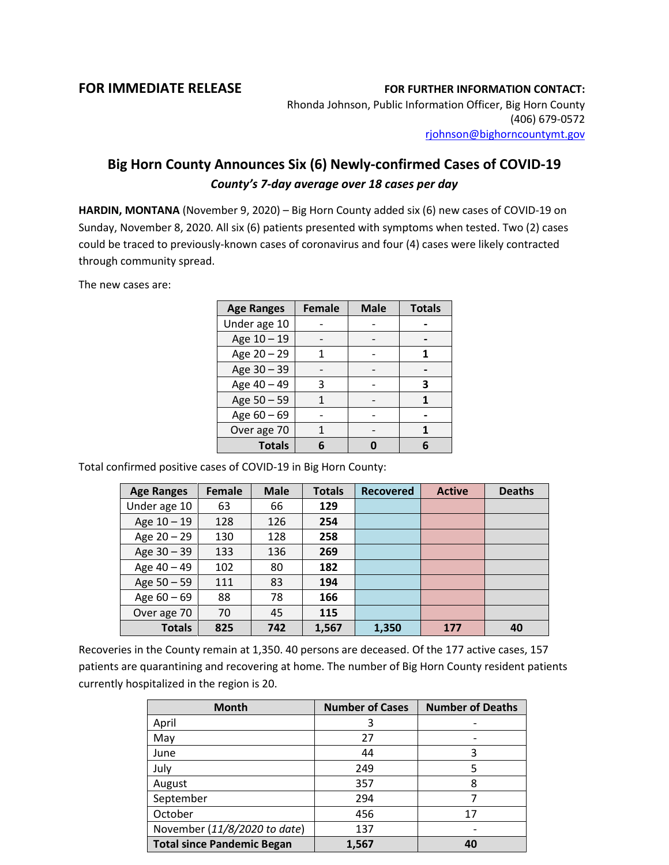## **FOR IMMEDIATE RELEASE FOR FURTHER INFORMATION CONTACT:**

Rhonda Johnson, Public Information Officer, Big Horn County (406) 679-0572 [rjohnson@bighorncountymt.gov](mailto:rjohnson@bighorncountymt.gov)

## **Big Horn County Announces Six (6) Newly-confirmed Cases of COVID-19** *County's 7-day average over 18 cases per day*

**HARDIN, MONTANA** (November 9, 2020) – Big Horn County added six (6) new cases of COVID-19 on Sunday, November 8, 2020. All six (6) patients presented with symptoms when tested. Two (2) cases could be traced to previously-known cases of coronavirus and four (4) cases were likely contracted through community spread.

The new cases are:

| <b>Age Ranges</b> | <b>Female</b> | <b>Male</b> | <b>Totals</b> |
|-------------------|---------------|-------------|---------------|
| Under age 10      |               |             |               |
| Age 10 - 19       |               |             |               |
| Age 20 - 29       |               |             |               |
| Age 30 - 39       |               |             |               |
| Age 40 - 49       | ੨             |             | 3             |
| Age 50 - 59       |               |             |               |
| Age 60 - 69       |               |             |               |
| Over age 70       |               |             |               |
| <b>Totals</b>     |               |             |               |

Total confirmed positive cases of COVID-19 in Big Horn County:

| <b>Age Ranges</b> | <b>Female</b> | <b>Male</b> | <b>Totals</b> | <b>Recovered</b> | <b>Active</b> | <b>Deaths</b> |
|-------------------|---------------|-------------|---------------|------------------|---------------|---------------|
| Under age 10      | 63            | 66          | 129           |                  |               |               |
| Age 10 - 19       | 128           | 126         | 254           |                  |               |               |
| Age $20 - 29$     | 130           | 128         | 258           |                  |               |               |
| Age 30 - 39       | 133           | 136         | 269           |                  |               |               |
| Age 40 - 49       | 102           | 80          | 182           |                  |               |               |
| Age $50 - 59$     | 111           | 83          | 194           |                  |               |               |
| Age $60 - 69$     | 88            | 78          | 166           |                  |               |               |
| Over age 70       | 70            | 45          | 115           |                  |               |               |
| <b>Totals</b>     | 825           | 742         | 1,567         | 1,350            | 177           | 40            |

Recoveries in the County remain at 1,350. 40 persons are deceased. Of the 177 active cases, 157 patients are quarantining and recovering at home. The number of Big Horn County resident patients currently hospitalized in the region is 20.

| <b>Month</b>                      | <b>Number of Cases</b> | <b>Number of Deaths</b> |
|-----------------------------------|------------------------|-------------------------|
| April                             | 3                      |                         |
| May                               | 27                     |                         |
| June                              | 44                     | 3                       |
| July                              | 249                    | 5                       |
| August                            | 357                    | 8                       |
| September                         | 294                    |                         |
| October                           | 456                    | 17                      |
| November (11/8/2020 to date)      | 137                    |                         |
| <b>Total since Pandemic Began</b> | 1,567                  | 40                      |